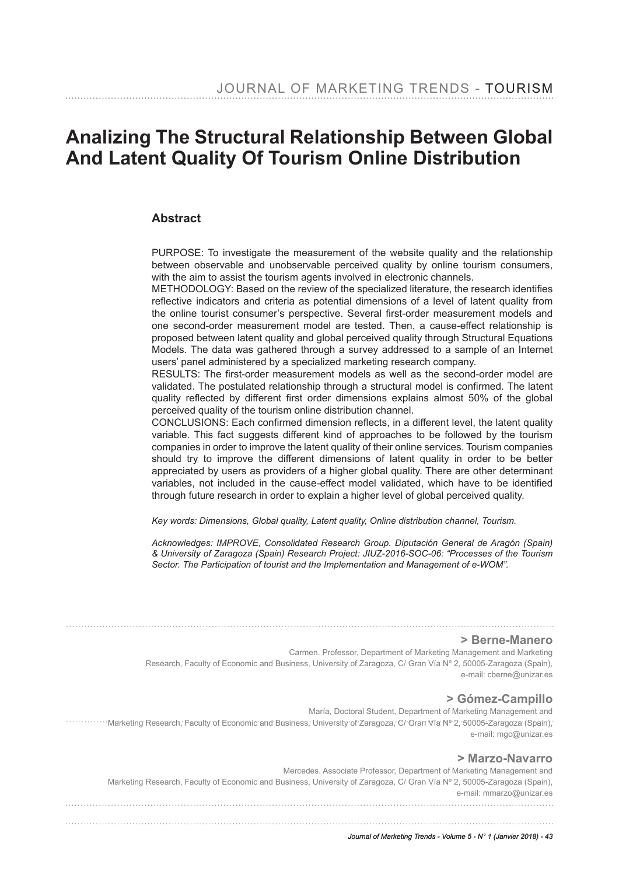# **Analizing The Structural Relationship Between Global And Latent Quality Of Tourism Online Distribution**

### **Abstract**

PURPOSE: To investigate the measurement of the website quality and the relationship between observable and unobservable perceived quality by online tourism consumers, with the aim to assist the tourism agents involved in electronic channels.

METHODOLOGY: Based on the review of the specialized literature, the research identifes refective indicators and criteria as potential dimensions of a level of latent quality from the online tourist consumer's perspective. Several frst-order measurement models and one second-order measurement model are tested. Then, a cause-effect relationship is proposed between latent quality and global perceived quality through Structural Equations Models. The data was gathered through a survey addressed to a sample of an Internet users' panel administered by a specialized marketing research company.

RESULTS: The frst-order measurement models as well as the second-order model are validated. The postulated relationship through a structural model is confrmed. The latent quality refected by different frst order dimensions explains almost 50% of the global perceived quality of the tourism online distribution channel.

CONCLUSIONS: Each confrmed dimension refects, in a different level, the latent quality variable. This fact suggests different kind of approaches to be followed by the tourism companies in order to improve the latent quality of their online services. Tourism companies should try to improve the different dimensions of latent quality in order to be better appreciated by users as providers of a higher global quality. There are other determinant variables, not included in the cause-effect model validated, which have to be identifed through future research in order to explain a higher level of global perceived quality.

*Key words: Dimensions, Global quality, Latent quality, Online distribution channel, Tourism.*

*Acknowledges: IMPROVE, Consolidated Research Group. Diputación General de Aragón (Spain) & University of Zaragoza (Spain) Research Project: JIUZ-2016-SOC-06: "Processes of the Tourism Sector. The Participation of tourist and the Implementation and Management of e-WOM".* 

#### **> Berne-Manero**

Carmen. Professor, Department of Marketing Management and Marketing Research, Faculty of Economic and Business, University of Zaragoza, C/ Gran Vía Nº 2, 50005-Zaragoza (Spain), e-mail: cberne@unizar.es

#### **> Gómez-Campillo**

María, Doctoral Student, Department of Marketing Management and ................. Marketing Research, Faculty of Economic and Business; University of Zaragoza, C/ Gran Vía Nº 2, 50005-Zaragoza (Spain), e-mail: mgc@unizar.es

#### **> Marzo-Navarro**

Mercedes. Associate Professor, Department of Marketing Management and Marketing Research, Faculty of Economic and Business, University of Zaragoza, C/ Gran Vía Nº 2, 50005-Zaragoza (Spain), e-mail: mmarzo@unizar.es

*Journal of Marketing Trends - Volume 5 - N° 1 (Janvier 2018) - 43*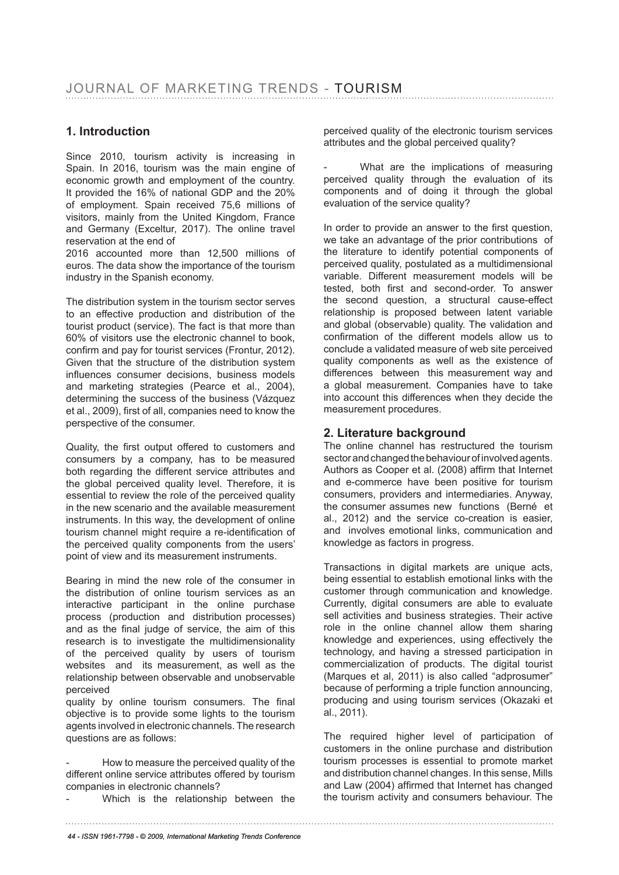## **1. Introduction**

Since 2010, tourism activity is increasing in Spain. In 2016, tourism was the main engine of economic growth and employment of the country. It provided the 16% of national GDP and the 20% of employment. Spain received 75,6 millions of visitors, mainly from the United Kingdom, France and Germany (Exceltur, 2017). The online travel reservation at the end of

2016 accounted more than 12,500 millions of euros. The data show the importance of the tourism industry in the Spanish economy.

The distribution system in the tourism sector serves to an effective production and distribution of the tourist product (service). The fact is that more than 60% of visitors use the electronic channel to book, confirm and pay for tourist services (Frontur, 2012). Given that the structure of the distribution system infuences consumer decisions, business models and marketing strategies (Pearce et al., 2004), determining the success of the business (Vázquez et al., 2009), frst of all, companies need to know the perspective of the consumer.

Quality, the first output offered to customers and consumers by a company, has to be measured both regarding the different service attributes and the global perceived quality level. Therefore, it is essential to review the role of the perceived quality in the new scenario and the available measurement instruments. In this way, the development of online tourism channel might require a re-identifcation of the perceived quality components from the users' point of view and its measurement instruments.

Bearing in mind the new role of the consumer in the distribution of online tourism services as an interactive participant in the online purchase process (production and distribution processes) and as the fnal judge of service, the aim of this research is to investigate the multidimensionality of the perceived quality by users of tourism websites and its measurement, as well as the relationship between observable and unobservable perceived

quality by online tourism consumers. The final objective is to provide some lights to the tourism agents involved in electronic channels. The research questions are as follows:

How to measure the perceived quality of the different online service attributes offered by tourism companies in electronic channels?

Which is the relationship between the

perceived quality of the electronic tourism services attributes and the global perceived quality?

What are the implications of measuring perceived quality through the evaluation of its components and of doing it through the global evaluation of the service quality?

In order to provide an answer to the first question. we take an advantage of the prior contributions of the literature to identify potential components of perceived quality, postulated as a multidimensional variable. Different measurement models will be tested, both frst and second-order. To answer the second question, a structural cause-effect relationship is proposed between latent variable and global (observable) quality. The validation and confrmation of the different models allow us to conclude a validated measure of web site perceived quality components as well as the existence of differences between this measurement way and a global measurement. Companies have to take into account this differences when they decide the measurement procedures.

### **2. Literature background**

The online channel has restructured the tourism sector and changed the behaviour of involved agents. Authors as Cooper et al. (2008) affrm that Internet and e-commerce have been positive for tourism consumers, providers and intermediaries. Anyway, the consumer assumes new functions (Berné et al., 2012) and the service co-creation is easier, and involves emotional links, communication and knowledge as factors in progress.

Transactions in digital markets are unique acts, being essential to establish emotional links with the customer through communication and knowledge. Currently, digital consumers are able to evaluate sell activities and business strategies. Their active role in the online channel allow them sharing knowledge and experiences, using effectively the technology, and having a stressed participation in commercialization of products. The digital tourist (Marques et al, 2011) is also called "adprosumer" because of performing a triple function announcing, producing and using tourism services (Okazaki et al., 2011).

The required higher level of participation of customers in the online purchase and distribution tourism processes is essential to promote market and distribution channel changes. In this sense, Mills and Law (2004) affrmed that Internet has changed the tourism activity and consumers behaviour. The

*<sup>44 -</sup> ISSN 1961-7798 - © 2009, International Marketing Trends Conference*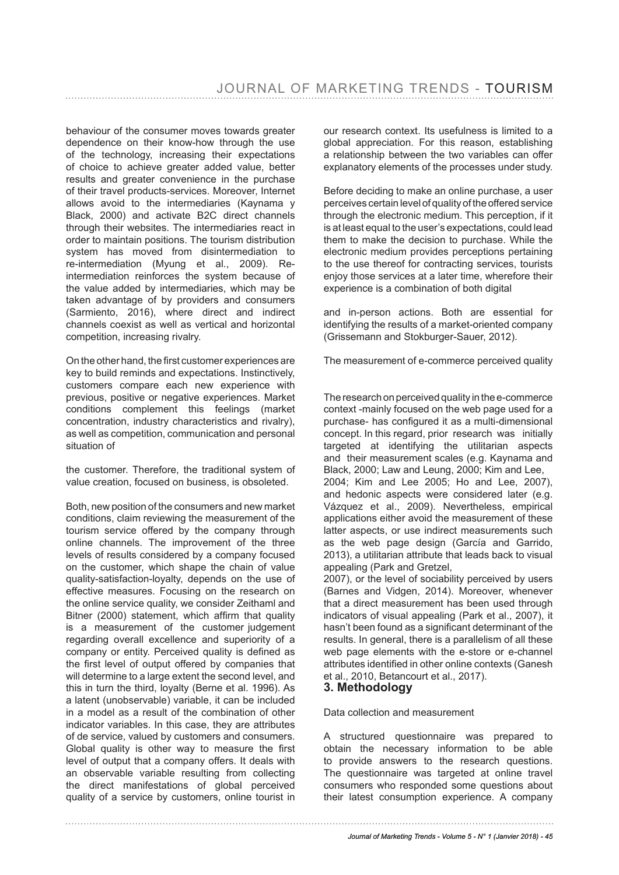behaviour of the consumer moves towards greater dependence on their know-how through the use of the technology, increasing their expectations of choice to achieve greater added value, better results and greater convenience in the purchase of their travel products-services. Moreover, Internet allows avoid to the intermediaries (Kaynama y Black, 2000) and activate B2C direct channels through their websites. The intermediaries react in order to maintain positions. The tourism distribution system has moved from disintermediation to re-intermediation (Myung et al., 2009). Reintermediation reinforces the system because of the value added by intermediaries, which may be taken advantage of by providers and consumers (Sarmiento, 2016), where direct and indirect channels coexist as well as vertical and horizontal competition, increasing rivalry.

On the other hand, the frst customer experiences are key to build reminds and expectations. Instinctively, customers compare each new experience with previous, positive or negative experiences. Market conditions complement this feelings (market concentration, industry characteristics and rivalry), as well as competition, communication and personal situation of

the customer. Therefore, the traditional system of value creation, focused on business, is obsoleted.

Both, new position of the consumers and new market conditions, claim reviewing the measurement of the tourism service offered by the company through online channels. The improvement of the three levels of results considered by a company focused on the customer, which shape the chain of value quality-satisfaction-loyalty, depends on the use of effective measures. Focusing on the research on the online service quality, we consider Zeithaml and Bitner (2000) statement, which affrm that quality is a measurement of the customer judgement regarding overall excellence and superiority of a company or entity. Perceived quality is defned as the frst level of output offered by companies that will determine to a large extent the second level, and this in turn the third, loyalty (Berne et al. 1996). As a latent (unobservable) variable, it can be included in a model as a result of the combination of other indicator variables. In this case, they are attributes of de service, valued by customers and consumers. Global quality is other way to measure the first level of output that a company offers. It deals with an observable variable resulting from collecting the direct manifestations of global perceived quality of a service by customers, online tourist in

our research context. Its usefulness is limited to a global appreciation. For this reason, establishing a relationship between the two variables can offer explanatory elements of the processes under study.

Before deciding to make an online purchase, a user perceives certain level of quality of the offered service through the electronic medium. This perception, if it is at least equal to the user's expectations, could lead them to make the decision to purchase. While the electronic medium provides perceptions pertaining to the use thereof for contracting services, tourists enjoy those services at a later time, wherefore their experience is a combination of both digital

and in-person actions. Both are essential for identifying the results of a market-oriented company (Grissemann and Stokburger-Sauer, 2012).

The measurement of e-commerce perceived quality

The research on perceived quality in the e-commerce context -mainly focused on the web page used for a purchase- has confgured it as a multi-dimensional concept. In this regard, prior research was initially targeted at identifying the utilitarian aspects and their measurement scales (e.g. Kaynama and Black, 2000; Law and Leung, 2000; Kim and Lee, 2004; Kim and Lee 2005; Ho and Lee, 2007), and hedonic aspects were considered later (e.g. Vázquez et al., 2009). Nevertheless, empirical applications either avoid the measurement of these latter aspects, or use indirect measurements such as the web page design (García and Garrido, 2013), a utilitarian attribute that leads back to visual appealing (Park and Gretzel,

2007), or the level of sociability perceived by users (Barnes and Vidgen, 2014). Moreover, whenever that a direct measurement has been used through indicators of visual appealing (Park et al., 2007), it hasn't been found as a significant determinant of the results. In general, there is a parallelism of all these web page elements with the e-store or e-channel attributes identifed in other online contexts (Ganesh et al., 2010, Betancourt et al., 2017).

#### **3. Methodology**

#### Data collection and measurement

A structured questionnaire was prepared to obtain the necessary information to be able to provide answers to the research questions. The questionnaire was targeted at online travel consumers who responded some questions about their latest consumption experience. A company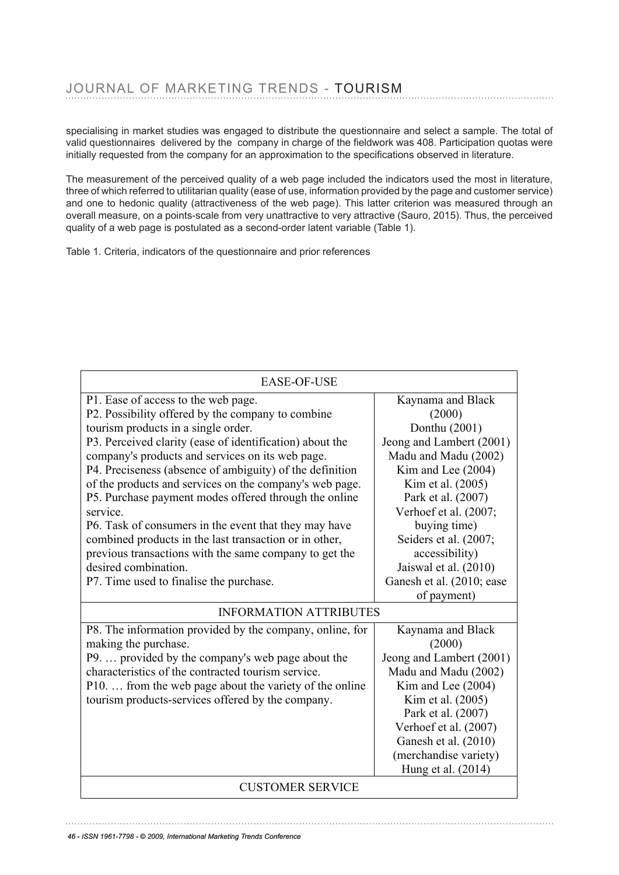specialising in market studies was engaged to distribute the questionnaire and select a sample. The total of specialishig in market studies was engaged to distribute the questionnaire and select a sample. The total of<br>valid questionnaires delivered by the company in charge of the fieldwork was 408. Participation quotas were initially requested from the company for an approximation to the specifcations observed in literature.

The measurement of the perceived quality of a web page included the indicators used the most in literature, The measurement of the perceived quality of a web page included the indicators used the three of which referred to utilitarian quality (ease of use, information provided by the page and customer service) and one to hedonic quality (attractiveness of the web page). This latter criterion was measured through an and one to hedonic quality (attractiveness of the web page). This latter criterion was measured through an overall measure, on a points-scale from very unattractive to very attractive (Sauro, 2015). Thus, the perceived quality of a web page is postulated as a second-order latent variable (Table 1).

Table 1. Criteria, indicators of the questionnaire and prior references

| <b>EASE-OF-USE</b>                                       |                           |  |  |  |  |  |  |
|----------------------------------------------------------|---------------------------|--|--|--|--|--|--|
| P1. Ease of access to the web page.                      | Kaynama and Black         |  |  |  |  |  |  |
| P2. Possibility offered by the company to combine        | (2000)                    |  |  |  |  |  |  |
| tourism products in a single order.                      | Donthu (2001)             |  |  |  |  |  |  |
| P3. Perceived clarity (ease of identification) about the | Jeong and Lambert (2001)  |  |  |  |  |  |  |
| company's products and services on its web page.         | Madu and Madu (2002)      |  |  |  |  |  |  |
| P4. Preciseness (absence of ambiguity) of the definition | Kim and Lee (2004)        |  |  |  |  |  |  |
| of the products and services on the company's web page.  | Kim et al. (2005)         |  |  |  |  |  |  |
| P5. Purchase payment modes offered through the online    | Park et al. (2007)        |  |  |  |  |  |  |
| service.                                                 | Verhoef et al. (2007;     |  |  |  |  |  |  |
| P6. Task of consumers in the event that they may have    | buying time)              |  |  |  |  |  |  |
| combined products in the last transaction or in other,   | Seiders et al. (2007;     |  |  |  |  |  |  |
| previous transactions with the same company to get the   | accessibility)            |  |  |  |  |  |  |
| desired combination.                                     | Jaiswal et al. (2010)     |  |  |  |  |  |  |
| P7. Time used to finalise the purchase.                  | Ganesh et al. (2010; ease |  |  |  |  |  |  |
|                                                          | of payment)               |  |  |  |  |  |  |
| <b>INFORMATION ATTRIBUTES</b>                            |                           |  |  |  |  |  |  |
| P8. The information provided by the company, online, for | Kaynama and Black         |  |  |  |  |  |  |
| making the purchase.                                     | (2000)                    |  |  |  |  |  |  |
| P9.  provided by the company's web page about the        | Jeong and Lambert (2001)  |  |  |  |  |  |  |
| characteristics of the contracted tourism service.       | Madu and Madu (2002)      |  |  |  |  |  |  |
| P10.  from the web page about the variety of the online  | Kim and Lee (2004)        |  |  |  |  |  |  |
| tourism products-services offered by the company.        | Kim et al. (2005)         |  |  |  |  |  |  |
|                                                          | Park et al. (2007)        |  |  |  |  |  |  |
|                                                          | Verhoef et al. (2007)     |  |  |  |  |  |  |
|                                                          | Ganesh et al. (2010)      |  |  |  |  |  |  |
|                                                          | (merchandise variety)     |  |  |  |  |  |  |
|                                                          | Hung et al. (2014)        |  |  |  |  |  |  |
| <b>CUSTOMER SERVICE</b>                                  |                           |  |  |  |  |  |  |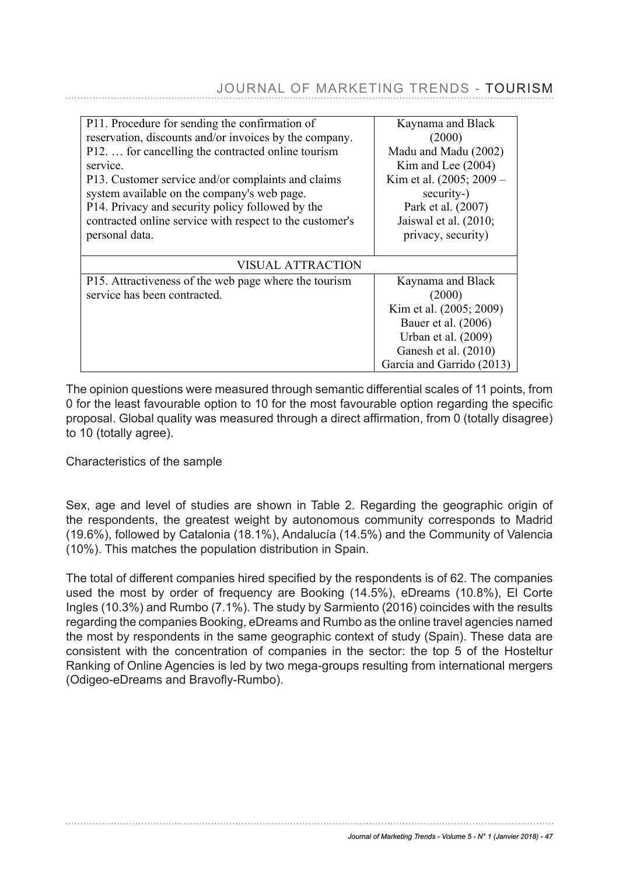| P11. Procedure for sending the confirmation of           | Kaynama and Black        |
|----------------------------------------------------------|--------------------------|
| reservation, discounts and/or invoices by the company.   | (2000)                   |
| P12.  for cancelling the contracted online tourism       | Madu and Madu (2002)     |
| service.                                                 | Kim and Lee (2004)       |
| P13. Customer service and/or complaints and claims       | Kim et al. (2005; 2009 – |
| system available on the company's web page.              | security-)               |
| P14. Privacy and security policy followed by the         | Park et al. (2007)       |
| contracted online service with respect to the customer's | Jaiswal et al. $(2010;$  |
| personal data.                                           | privacy, security)       |
|                                                          |                          |
| VISUAL ATTRACTION                                        |                          |
| P15. Attractiveness of the web page where the tourism    | Kaynama and Black        |
| service has been contracted.                             | (2000)                   |
|                                                          | Kim et al. (2005; 2009)  |
|                                                          | Bauer et al. (2006)      |
|                                                          | Urban et al. (2009)      |
|                                                          | Ganesh et al. (2010)     |
|                                                          |                          |

# JOURNAL OF MARKETING TRENDS - TOURISM

The opinion questions were measured through semantic differential scales of 11 points, from 0 for the least favourable option to 10 for the most favourable option regarding the specific<br>
The option of 11 points, from the through semantic of 11 points, from the specific proposal. Global quality was measured through a direct affrmation, from 0 (totally disagree) to 10 (totally agree). The least favourable option to 10 for the most favourable option regarding the specific

# Characteristics of the sample **contract affirmation**, from 0 (totally disagree) and 0 (totally disagree) and 0 (totally disagree) and 0 (totally disagree) and 0 (totally disagree) and 0 (totally disagree) and 0 (totally di

Sex, age and level of studies are shown in Table 2. Regarding the geographic origin of the respondents, the greatest weight by autonomous community corresponds to Madrid are respondents, the greatest weight by adionomous community corresponds to madrid<br>(19.6%), followed by Catalonia (18.1%), Andalucía (14.5%) and the Community of Valencia (10%). This matches the population distribution in Spain.

The total of different companies hired specifed by the respondents is of 62. The companies used the most by order of frequency are Booking (14.5%), eDreams (10.8%), El Corte Ingles (10.3%) and Rumbo (7.1%). The study by Sarmiento (2016) coincides with the results mare (19.1%), and rumme (19.1%), The staty by Cannients (20.1%) consider the recented<br>regarding the companies Booking, eDreams and Rumbo as the online travel agencies named the most by respondents in the same geographic context of study (Spain). These data are are moot by responsionity in the same geographic context of etally (epain). These data are consistent with the concentration of companies in the sector: the top 5 of the Hosteltur Ranking of Online Agencies is led by two mega-groups resulting from international mergers (Odigeo-eDreams and Bravofly-Rumbo).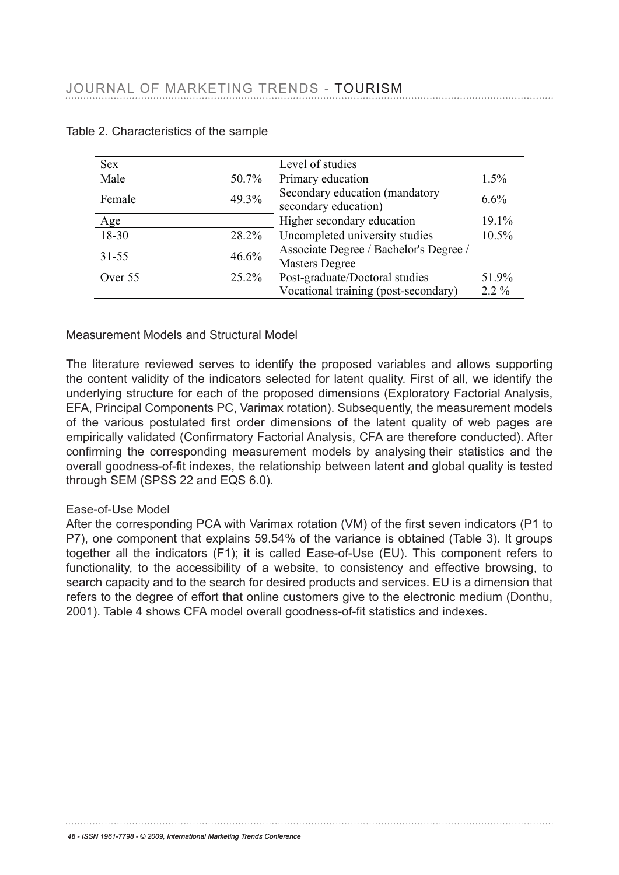| Sex       |          | Level of studies                                                |         |
|-----------|----------|-----------------------------------------------------------------|---------|
| Male      | 50.7%    | Primary education                                               | 1.5%    |
| Female    | 49.3%    | Secondary education (mandatory<br>secondary education)          | 6.6%    |
| Age       |          | Higher secondary education                                      | 19.1%   |
| 18-30     | 28.2%    | Uncompleted university studies                                  | 10.5%   |
| $31 - 55$ | 46.6%    | Associate Degree / Bachelor's Degree /<br><b>Masters Degree</b> |         |
| Over 55   | $25.2\%$ | Post-graduate/Doctoral studies                                  | 51.9%   |
|           |          | Vocational training (post-secondary)                            | $2.2\%$ |

## Table 2. Characteristics of the sample Table 2. Characteristics of the sample

Measurement Models and Structural Model *Measurement Models and Structural Model*

The literature reviewed serves to identify the proposed variables and allows supporting the content validity of the indicators selected for latent quality. First of all, we identify the are content validity of the indicators selected for latent quality. First of all, we identify the underlying structure for each of the proposed dimensions (Exploratory Factorial Analysis, EFA, Principal Components PC, Varimax rotation). Subsequently, the measurement models Li A, inhicipal components fro, variling rotation). Subsequently, the measurement models of the various postulated first order dimensions of the latent quality of web pages are empirically validated (Confrmatory Factorial Analysis, CFA are therefore conducted). After confrming the corresponding measurement models by analysing their statistics and the overall goodness-of-fit indexes, the relationship between latent and global quality is tested through SEM (SPSS 22 and EQS 6.0). Ipincally validated (Committatory Factorial Analysis, CFA are therefore conducted). An<br>efficiently, the component models were models by exploring their statistics, and the

#### Ease-of-Use Model empirically validated (Confirmatory Factorial Analysis, CFA are therefore conducted). After

After the corresponding PCA with Varimax rotation (VM) of the first seven indicators (P1 to P7), one component that explains 59.54% of the variance is obtained (Table 3). It groups together all the indicators (F1); it is called Ease-of-Use (EU). This component refers to functionality, to the accessibility of a website, to consistency and effective browsing, to search capacity and to the search for desired products and services. EU is a dimension that refers to the degree of effort that online customers give to the electronic medium (Donthu, 2001). Table 4 shows CFA model overall goodness-of-fit statistics and indexes.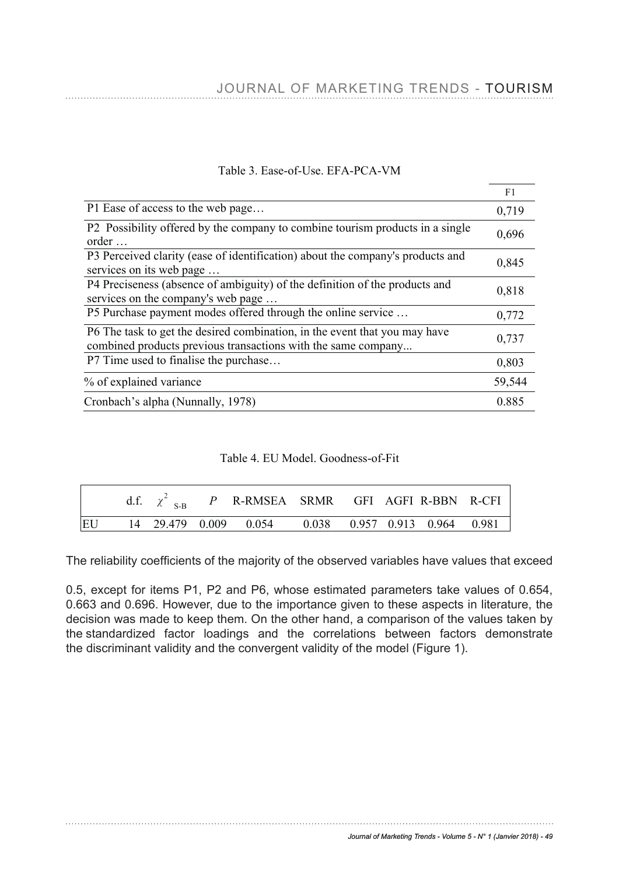|                                                                                                                                             | F1     |
|---------------------------------------------------------------------------------------------------------------------------------------------|--------|
| P1 Ease of access to the web page                                                                                                           | 0,719  |
| P2 Possibility offered by the company to combine tourism products in a single<br>$order \dots$                                              | 0,696  |
| P3 Perceived clarity (ease of identification) about the company's products and<br>services on its web page                                  | 0,845  |
| P4 Preciseness (absence of ambiguity) of the definition of the products and<br>services on the company's web page                           | 0,818  |
| P5 Purchase payment modes offered through the online service                                                                                | 0,772  |
| P6 The task to get the desired combination, in the event that you may have<br>combined products previous transactions with the same company | 0,737  |
| P7 Time used to finalise the purchase                                                                                                       | 0,803  |
| % of explained variance                                                                                                                     | 59,544 |
| Cronbach's alpha (Nunnally, 1978)                                                                                                           | 0.885  |

## Table 3. Ease-of-Use. EFA-PCA-VM

# Table 4. EU Model. Goodness-of-Fit

|    |  | d.f. $\chi^2$ <sub>S-B</sub> P R-RMSEA SRMR GFI AGFI R-BBN R-CFI |  |  |  |
|----|--|------------------------------------------------------------------|--|--|--|
| EU |  | 14 29.479 0.009 0.054 0.038 0.957 0.913 0.964 0.981              |  |  |  |

The reliability coefficients of the majority of the observed variables have values that exceed

0.5, except for items P1, P2 and P6, whose estimated parameters take values of 0.654, 0.663 and 0.696. However, due to the importance given to these aspects in literature, the decision was made to keep them. On the other hand, a comparison of the values taken by the standardized factor loadings and the correlations between factors demonstrate the discriminant validity and the convergent validity of the model (Figure 1).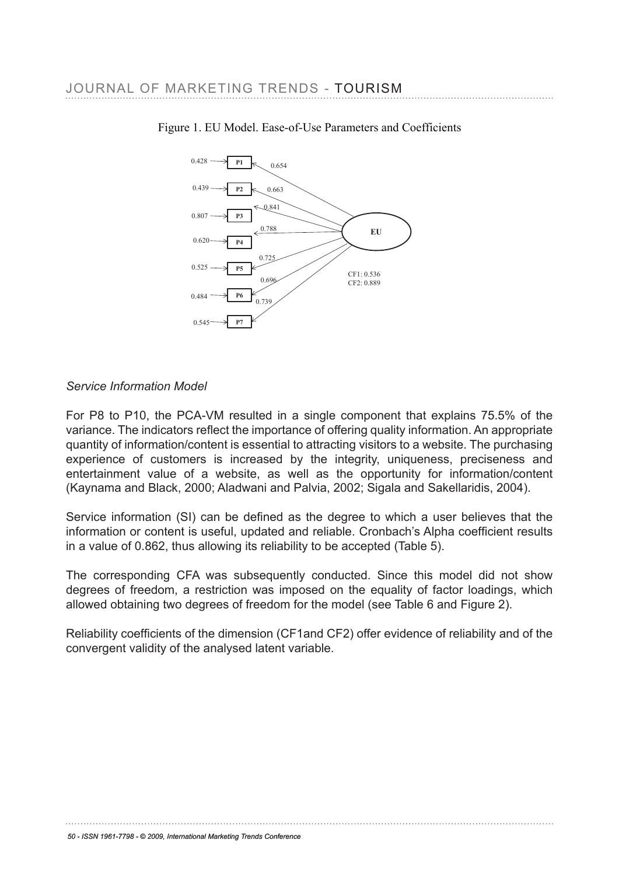

## Figure 1. EU Model. Ease-of-Use Parameters and Coefficients

# *Service Information Model Service Information Model*

For P8 to P10, the PCA-VM resulted in a single component that explains 75.5% of the For P8 to P10, the P10, the Post Component in a single component that explains Porcy of the<br>variance. The indicators reflect the importance of offering quality information. An appropriate quantity of information/content is essential to attracting visitors to a website. The purchasing experience of customers is increased by the integrity, uniqueness, preciseness and entertainment value of a website, as well as the opportunity for information/content entertal linent value of a website, as well as the opportunity for information/content (Kaynama and Black, 2000; Aladwani and Palvia, 2002; Sigala and Sakellaridis, 2004).

Service information (SI) can be defned as the degree to which a user believes that the information or content is useful, updated and reliable. Cronbach's Alpha coefficient results in a value of 0.862, thus allowing its reliability to be accepted (Table 5). experience of customers is increased by the integrity, uniqueness, preciseness and

The corresponding CFA was subsequently conducted. Since this model did not show degrees of freedom, a restriction was imposed on the equality of factor loadings, which allowed obtaining two degrees of freedom for the model (see Table 6 and Figure 2). (Kaynama and Black, 2000; Aladwani and Palvia, 2002; Sigala and Sakellaridis, 2004).

Reliability coefficients of the dimension (CF1and CF2) offer evidence of reliability and of the convergent validity of the analysed latent variable.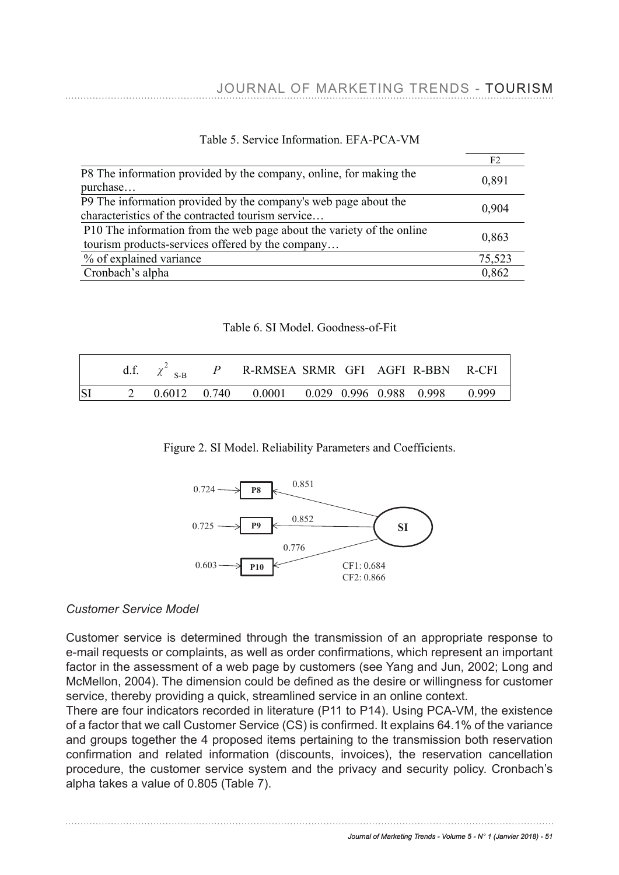|                                                                                                                           | F <sub>2</sub> |
|---------------------------------------------------------------------------------------------------------------------------|----------------|
| P8 The information provided by the company, online, for making the<br>purchase                                            | 0,891          |
| P9 The information provided by the company's web page about the<br>characteristics of the contracted tourism service      | 0.904          |
| P10 The information from the web page about the variety of the online<br>tourism products-services offered by the company | 0,863          |
| % of explained variance                                                                                                   | 75,523         |
| Cronbach's alpha                                                                                                          | 0,862          |

## Table 5. Service Information. EFA-PCA-VM

### Table 6. SI Model. Goodness-of-Fit

|           |  | d.f. $\chi^2$ <sub>S-B</sub> P R-RMSEA SRMR GFI AGFI R-BBN R-CFI |  |  |  |
|-----------|--|------------------------------------------------------------------|--|--|--|
| <b>SI</b> |  | 2 0.6012 0.740 0.0001 0.029 0.996 0.988 0.998 0.999              |  |  |  |

## Figure 2. SI Model. Reliability Parameters and Coefficients.



## *Customer Service Model*

Customer service is determined through the transmission of an appropriate response to e-mail requests or complaints, as well as order confrmations, which represent an important *Customer Service Model* factor in the assessment of a web page by customers (see Yang and Jun, 2002; Long and McMellon, 2004). The dimension could be defined as the desire or willingness for customer service, thereby providing a quick, streamlined service in an online context.

There are four indicators recorded in literature (P11 to P14). Using PCA-VM, the existence of a factor that we call Customer Service (CS) is confrmed. It explains 64.1% of the variance and groups together the 4 proposed items pertaining to the transmission both reservation confrmation and related information (discounts, invoices), the reservation cancellation procedure, the customer service system and the privacy and security policy. Cronbach's alpha takes a value of 0.805 (Table 7).  $\frac{1}{2}$  there exists a value of streamline context.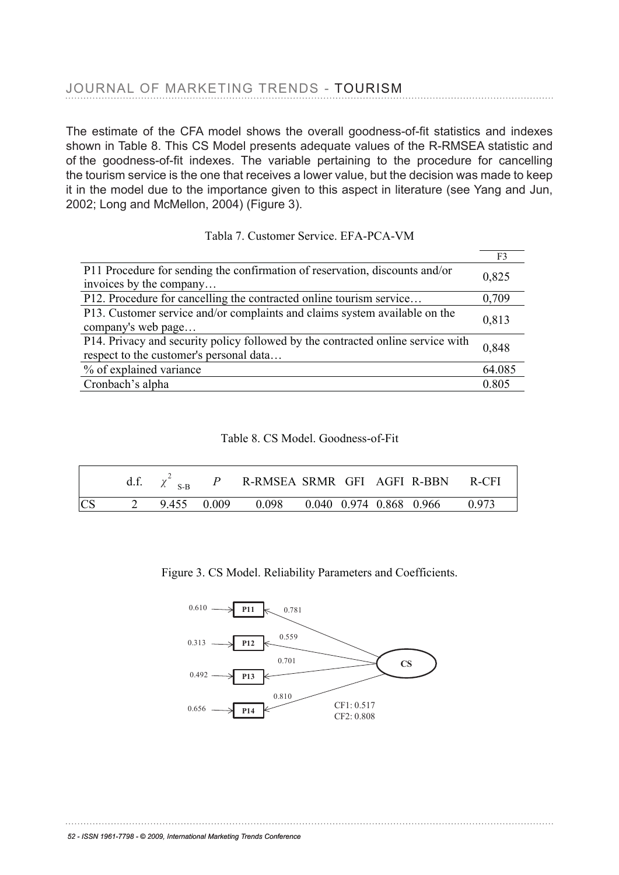The estimate of the CFA model shows the overall goodness-of-ft statistics and indexes shown in Table 8. This CS Model presents adequate values of the R-RMSEA statistic and of the goodness-of-ft indexes. The variable pertaining to the procedure for cancelling the tourism service is the one that receives a lower value, but the decision was made to keep it in the model due to the importance given to this aspect in literature (see Yang and Jun, 2002; Long and McMellon, 2004) (Figure 3). Long and McMellon, 2004) (Figure 3).

|                                                                                                                            | F <sub>3</sub> |
|----------------------------------------------------------------------------------------------------------------------------|----------------|
| P11 Procedure for sending the confirmation of reservation, discounts and/or<br>invoices by the company                     | 0,825          |
| P12. Procedure for cancelling the contracted online tourism service                                                        | 0,709          |
| P13. Customer service and/or complaints and claims system available on the<br>company's web page                           | 0,813          |
| P14. Privacy and security policy followed by the contracted online service with<br>respect to the customer's personal data | 0.848          |
| % of explained variance                                                                                                    | 64.085         |
| Cronbach's alpha                                                                                                           | 0.805          |

Tabla 7. Customer Service. EFA-PCA-VM

Table 8. CS Model. Goodness-of-Fit

|           |  | d.f. $\chi^2$ <sub>S-B</sub> <i>P</i> R-RMSEA SRMR GFI AGFI R-BBN R-CFI |  |  |  |
|-----------|--|-------------------------------------------------------------------------|--|--|--|
| <b>CS</b> |  | 2 9.455 0.009 0.098 0.040 0.974 0.868 0.966 0.973                       |  |  |  |

Figure 3. CS Model. Reliability Parameters and Coefficients.

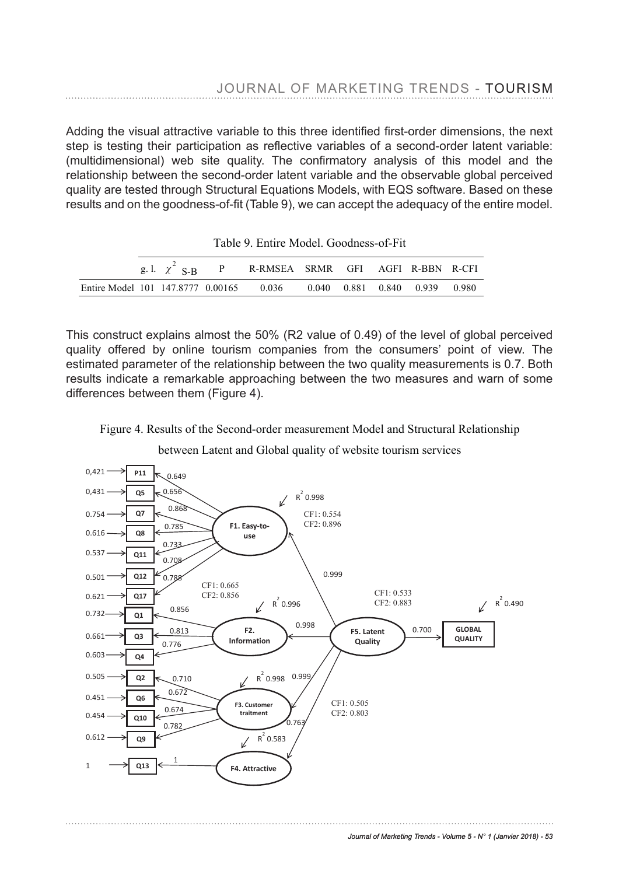

CF2: 0.808

# JOURNAL OF MARKETING TRENDS - TOURISM step is testing their participation as reflective variables of a second-order latent variable:

Adding the visual attractive variable to this three identified first-order dimensions, the next step is testing their participation as reflective variables of a second-order latent variable: (multidimensional) web site quality. The confrmatory analysis of this model and the relationship between the second-order latent variable and the observable global perceived quality are tested through Structural Equations Models, with EQS software. Based on these results and on the goodness-of-ft (Table 9), we can accept the adequacy of the entire model. results and on the goodness-of-fit (Table 9), we can accept the adequacy of the entire model.

|  | Table 9. Entire Model. Goodness-of-Fit |  |
|--|----------------------------------------|--|
|  |                                        |  |

|                                                                       |  | g.l. $\chi^2$ S-B P R-RMSEA SRMR GFI AGFI R-BBN R-CFI |  |  |  |
|-----------------------------------------------------------------------|--|-------------------------------------------------------|--|--|--|
| Entire Model 101 147,8777 0.00165 0.036 0.040 0.881 0.840 0.939 0.980 |  |                                                       |  |  |  |

This construct explains almost the 50% (R2 value of 0.49) of the level of global perceived This construct explains almost the 50% (R2 value of 0.49) of the level of global perceived quality offered by online tourism companies from the consumers' point of view. The quality offered by online tourient companies from the concurrence point of view. The estimated parameter of the relationship between the two quality measurements is 0.7. Both results indicate a remarkable approaching between the two measures and warn of some differences between them (Figure 4). differences between them (Figure 4).

Figure 4. Results of the Second-order measurement Model and Structural Relationship

#### differences between them (Figure 4). between Latent and Global quality of website tourism services



**4. Conclusions** 

*Journal of Marketing Trends - Volume 5 - N° 1 (Janvier 2018) - 53*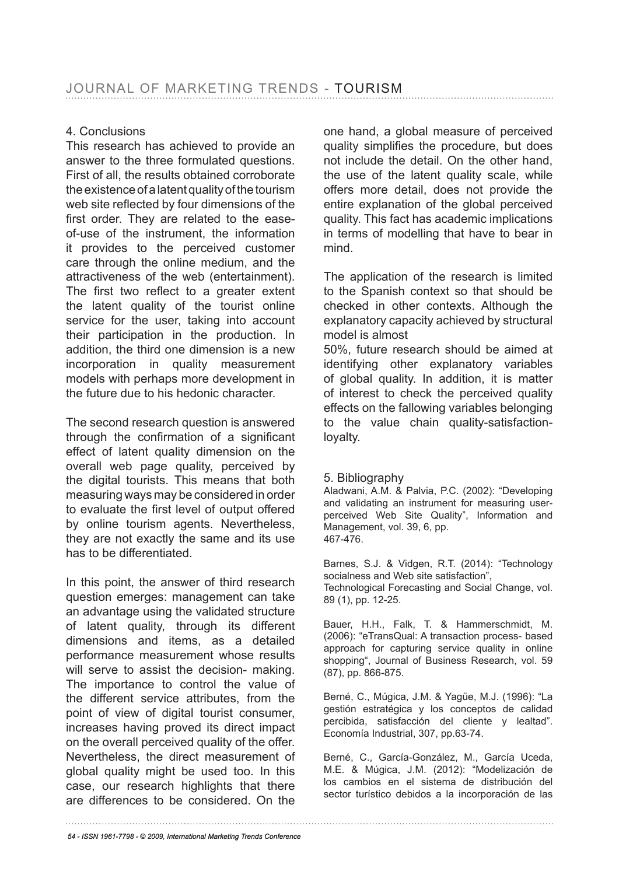# 4. Conclusions

This research has achieved to provide an answer to the three formulated questions. First of all, the results obtained corroborate the existence of a latent quality of the tourism web site reflected by four dimensions of the frst order. They are related to the easeof-use of the instrument, the information it provides to the perceived customer care through the online medium, and the attractiveness of the web (entertainment). The first two reflect to a greater extent the latent quality of the tourist online service for the user, taking into account their participation in the production. In addition, the third one dimension is a new incorporation in quality measurement models with perhaps more development in the future due to his hedonic character.

The second research question is answered through the confrmation of a signifcant effect of latent quality dimension on the overall web page quality, perceived by the digital tourists. This means that both measuring ways may be considered in order to evaluate the frst level of output offered by online tourism agents. Nevertheless, they are not exactly the same and its use has to be differentiated.

In this point, the answer of third research question emerges: management can take an advantage using the validated structure of latent quality, through its different dimensions and items, as a detailed performance measurement whose results will serve to assist the decision- making. The importance to control the value of the different service attributes, from the point of view of digital tourist consumer, increases having proved its direct impact on the overall perceived quality of the offer. Nevertheless, the direct measurement of global quality might be used too. In this case, our research highlights that there are differences to be considered. On the

one hand, a global measure of perceived quality simplifes the procedure, but does not include the detail. On the other hand, the use of the latent quality scale, while offers more detail, does not provide the entire explanation of the global perceived quality. This fact has academic implications in terms of modelling that have to bear in mind.

The application of the research is limited to the Spanish context so that should be checked in other contexts. Although the explanatory capacity achieved by structural model is almost

50%, future research should be aimed at identifying other explanatory variables of global quality. In addition, it is matter of interest to check the perceived quality effects on the fallowing variables belonging to the value chain quality-satisfactionloyalty.

## 5. Bibliography

Aladwani, A.M. & Palvia, P.C. (2002): "Developing and validating an instrument for measuring userperceived Web Site Quality", Information and Management, vol. 39, 6, pp. 467-476.

Barnes, S.J. & Vidgen, R.T. (2014): "Technology socialness and Web site satisfaction", Technological Forecasting and Social Change, vol. 89 (1), pp. 12-25.

Bauer, H.H., Falk, T. & Hammerschmidt, M. (2006): "eTransQual: A transaction process- based approach for capturing service quality in online shopping", Journal of Business Research, vol. 59 (87), pp. 866-875.

Berné, C., Múgica, J.M. & Yagüe, M.J. (1996): "La gestión estratégica y los conceptos de calidad percibida, satisfacción del cliente y lealtad". Economía Industrial, 307, pp.63-74.

Berné, C., García-González, M., García Uceda, M.E. & Múgica, J.M. (2012): "Modelización de los cambios en el sistema de distribución del sector turístico debidos a la incorporación de las

*54 - ISSN 1961-7798 - © 2009, International Marketing Trends Conference*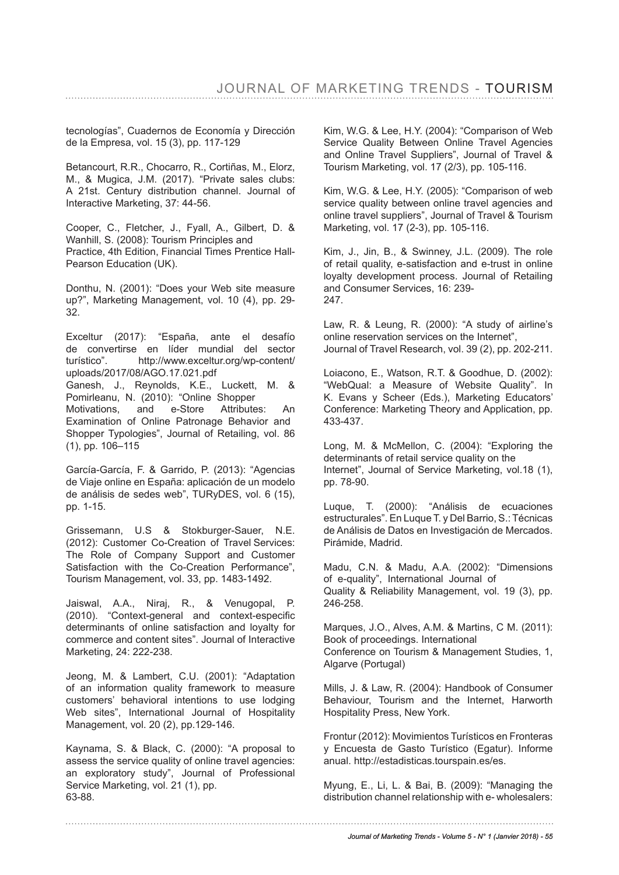tecnologías", Cuadernos de Economía y Dirección de la Empresa, vol. 15 (3), pp. 117-129

Betancourt, R.R., Chocarro, R., Cortiñas, M., Elorz, M., & Mugica, J.M. (2017). "Private sales clubs: A 21st. Century distribution channel. Journal of Interactive Marketing, 37: 44-56.

Cooper, C., Fletcher, J., Fyall, A., Gilbert, D. & Wanhill, S. (2008): Tourism Principles and Practice, 4th Edition, Financial Times Prentice Hall-Pearson Education (UK).

Donthu, N. (2001): "Does your Web site measure up?", Marketing Management, vol. 10 (4), pp. 29- 32.

Exceltur (2017): "España, ante el desafío de convertirse en líder mundial del sector turístico". http://www.exceltur.org/wp-content/ uploads/2017/08/AGO.17.021.pdf

Ganesh, J., Reynolds, K.E., Luckett, M. & Pomirleanu, N. (2010): "Online Shopper Motivations, and e-Store Attributes: An Examination of Online Patronage Behavior and Shopper Typologies", Journal of Retailing, vol. 86 (1), pp. 106–115

García-García, F. & Garrido, P. (2013): "Agencias de Viaje online en España: aplicación de un modelo de análisis de sedes web", TURyDES, vol. 6 (15), pp. 1-15.

Grissemann, U.S & Stokburger-Sauer, N.E. (2012): Customer Co-Creation of Travel Services: The Role of Company Support and Customer Satisfaction with the Co-Creation Performance", Tourism Management, vol. 33, pp. 1483-1492.

Jaiswal, A.A., Niraj, R., & Venugopal, P. (2010). "Context-general and context-especifc determinants of online satisfaction and loyalty for commerce and content sites". Journal of Interactive Marketing, 24: 222-238.

Jeong, M. & Lambert, C.U. (2001): "Adaptation of an information quality framework to measure customers' behavioral intentions to use lodging Web sites", International Journal of Hospitality Management, vol. 20 (2), pp.129-146.

Kaynama, S. & Black, C. (2000): "A proposal to assess the service quality of online travel agencies: an exploratory study", Journal of Professional Service Marketing, vol. 21 (1), pp. 63-88.

Kim, W.G. & Lee, H.Y. (2004): "Comparison of Web Service Quality Between Online Travel Agencies and Online Travel Suppliers", Journal of Travel & Tourism Marketing, vol. 17 (2/3), pp. 105-116.

Kim, W.G. & Lee, H.Y. (2005): "Comparison of web service quality between online travel agencies and online travel suppliers", Journal of Travel & Tourism Marketing, vol. 17 (2-3), pp. 105-116.

Kim, J., Jin, B., & Swinney, J.L. (2009). The role of retail quality, e-satisfaction and e-trust in online loyalty development process. Journal of Retailing and Consumer Services, 16: 239- 247.

Law, R. & Leung, R. (2000): "A study of airline's online reservation services on the Internet", Journal of Travel Research, vol. 39 (2), pp. 202-211.

Loiacono, E., Watson, R.T. & Goodhue, D. (2002): "WebQual: a Measure of Website Quality". In K. Evans y Scheer (Eds.), Marketing Educators' Conference: Marketing Theory and Application, pp. 433-437.

Long, M. & McMellon, C. (2004): "Exploring the determinants of retail service quality on the Internet", Journal of Service Marketing, vol.18 (1), pp. 78-90.

Luque, T. (2000): "Análisis de ecuaciones estructurales". En Luque T. y Del Barrio, S.: Técnicas de Análisis de Datos en Investigación de Mercados. Pirámide, Madrid.

Madu, C.N. & Madu, A.A. (2002): "Dimensions of e-quality", International Journal of Quality & Reliability Management, vol. 19 (3), pp. 246-258.

Marques, J.O., Alves, A.M. & Martins, C M. (2011): Book of proceedings. International Conference on Tourism & Management Studies, 1, Algarve (Portugal)

Mills, J. & Law, R. (2004): Handbook of Consumer Behaviour, Tourism and the Internet, Harworth Hospitality Press, New York.

Frontur (2012): Movimientos Turísticos en Fronteras y Encuesta de Gasto Turístico (Egatur). Informe anual. http://estadisticas.tourspain.es/es.

Myung, E., Li, L. & Bai, B. (2009): "Managing the distribution channel relationship with e- wholesalers: